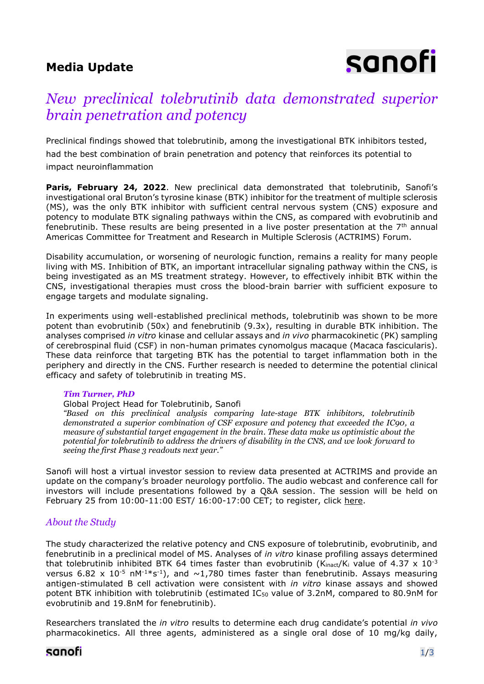# **Media Update**

# sanofi

# *New preclinical tolebrutinib data demonstrated superior brain penetration and potency*

Preclinical findings showed that tolebrutinib, among the investigational BTK inhibitors tested, had the best combination of brain penetration and potency that reinforces its potential to impact neuroinflammation

Paris, February 24, 2022. New preclinical data demonstrated that tolebrutinib, Sanofi's investigational oral Bruton's tyrosine kinase (BTK) inhibitor for the treatment of multiple sclerosis (MS), was the only BTK inhibitor with sufficient central nervous system (CNS) exposure and potency to modulate BTK signaling pathways within the CNS, as compared with evobrutinib and fenebrutinib. These results are being presented in a live poster presentation at the  $7<sup>th</sup>$  annual Americas Committee for Treatment and Research in Multiple Sclerosis (ACTRIMS) Forum.

Disability accumulation, or worsening of neurologic function, remains a reality for many people living with MS. Inhibition of BTK, an important intracellular signaling pathway within the CNS, is being investigated as an MS treatment strategy. However, to effectively inhibit BTK within the CNS, investigational therapies must cross the blood-brain barrier with sufficient exposure to engage targets and modulate signaling.

In experiments using well-established preclinical methods, tolebrutinib was shown to be more potent than evobrutinib (50x) and fenebrutinib (9.3x), resulting in durable BTK inhibition. The analyses comprised *in vitro* kinase and cellular assays and *in vivo* pharmacokinetic (PK) sampling of cerebrospinal fluid (CSF) in non-human primates cynomolgus macaque (Macaca fascicularis). These data reinforce that targeting BTK has the potential to target inflammation both in the periphery and directly in the CNS. Further research is needed to determine the potential clinical efficacy and safety of tolebrutinib in treating MS.

#### *Tim Turner, PhD*

#### Global Project Head for Tolebrutinib, Sanofi

*"Based on this preclinical analysis comparing late-stage BTK inhibitors, tolebrutinib demonstrated a superior combination of CSF exposure and potency that exceeded the IC90, a measure of substantial target engagement in the brain. These data make us optimistic about the potential for tolebrutinib to address the drivers of disability in the CNS, and we look forward to seeing the first Phase 3 readouts next year."* 

Sanofi will host a virtual investor session to review data presented at ACTRIMS and provide an update on the company's broader neurology portfolio. The audio webcast and conference call for investors will include presentations followed by a Q&A session. The session will be held on February 25 from 10:00-11:00 EST/ 16:00-17:00 CET; to register, click [here.](https://sanofi.zoom.us/webinar/register/WN_L2pMEsCbSieQukZw63_XqQ)

#### *About the Study*

The study characterized the relative potency and CNS exposure of tolebrutinib, evobrutinib, and fenebrutinib in a preclinical model of MS. Analyses of *in vitro* kinase profiling assays determined that tolebrutinib inhibited BTK 64 times faster than evobrutinib (Kinact/Ki value of 4.37 x 10<sup>-3</sup> versus 6.82 x 10<sup>-5</sup> nM<sup>-1\*</sup>s<sup>-1</sup>), and  $\sim$ 1,780 times faster than fenebrutinib. Assays measuring antigen-stimulated B cell activation were consistent with *in vitro* kinase assays and showed potent BTK inhibition with tolebrutinib (estimated IC<sub>50</sub> value of 3.2nM, compared to 80.9nM for evobrutinib and 19.8nM for fenebrutinib).

Researchers translated the *in vitro* results to determine each drug candidate's potential *in vivo* pharmacokinetics. All three agents, administered as a single oral dose of 10 mg/kg daily,

### sanofi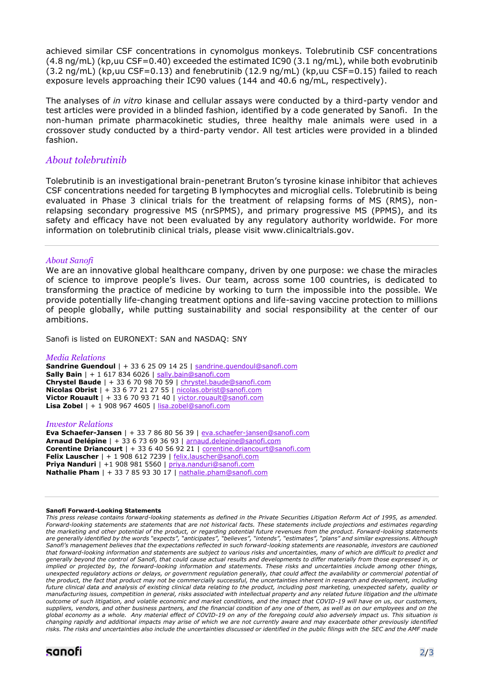achieved similar CSF concentrations in cynomolgus monkeys. Tolebrutinib CSF concentrations  $(4.8 \text{ ng/mL})$  (kp,uu CSF=0.40) exceeded the estimated IC90 (3.1  $\text{ng/mL}$ ), while both evobrutinib  $(3.2 \text{ ng/mL})$  (kp,uu CSF=0.13) and fenebrutinib  $(12.9 \text{ ng/mL})$  (kp,uu CSF=0.15) failed to reach exposure levels approaching their IC90 values (144 and 40.6 ng/mL, respectively).

The analyses of *in vitro* kinase and cellular assays were conducted by a third-party vendor and test articles were provided in a blinded fashion, identified by a code generated by Sanofi. In the non-human primate pharmacokinetic studies, three healthy male animals were used in a crossover study conducted by a third-party vendor. All test articles were provided in a blinded fashion.

#### *About tolebrutinib*

Tolebrutinib is an investigational brain-penetrant Bruton's tyrosine kinase inhibitor that achieves CSF concentrations needed for targeting B lymphocytes and microglial cells. Tolebrutinib is being evaluated in Phase 3 clinical trials for the treatment of relapsing forms of MS (RMS), nonrelapsing secondary progressive MS (nrSPMS), and primary progressive MS (PPMS), and its safety and efficacy have not been evaluated by any regulatory authority worldwide. For more information on tolebrutinib clinical trials, please visit www.clinicaltrials.gov.

#### *About Sanofi*

We are an innovative global healthcare company, driven by one purpose: we chase the miracles of science to improve people's lives. Our team, across some 100 countries, is dedicated to transforming the practice of medicine by working to turn the impossible into the possible. We provide potentially life-changing treatment options and life-saving vaccine protection to millions of people globally, while putting sustainability and social responsibility at the center of our ambitions.

Sanofi is listed on EURONEXT: SAN and NASDAQ: SNY

#### *Media Relations*

**Sandrine Guendoul** | + 33 6 25 09 14 25 | [sandrine.guendoul@sanofi.com](mailto:sandrine.guendoul@sanofi.com) **Sally Bain** | + 1 617 834 6026 | [sally.bain@sanofi.com](mailto:sally.bain@sanofi.com) **Chrystel Baude** | + 33 6 70 98 70 59 | [chrystel.baude@sanofi.com](mailto:chrystel.baude@sanofi.com) **Nicolas Obrist** | + 33 6 77 21 27 55 | [nicolas.obrist@sanofi.com](mailto:nicolas.obrist@sanofi.com) **Victor Rouault** | + 33 6 70 93 71 40 | [victor.rouault@sanofi.com](mailto:victor.rouault@sanofi.com) **Lisa Zobel** | + 1 908 967 4605 | [lisa.zobel@sanofi.com](mailto:lisa.zobel@sanofi.com)

#### *Investor Relations*

**Eva Schaefer-Jansen** | + 33 7 86 80 56 39 | [eva.schaefer-jansen@sanofi.com](mailto:eva.schaefer-jansen@sanofi.com) **Arnaud Delépine** | + 33 6 73 69 36 93 | [arnaud.delepine@sanofi.com](mailto:arnaud.delepine@sanofi.com) **Corentine Driancourt** | + 33 6 40 56 92 21 | [corentine.driancourt@sanofi.com](mailto:corentine.driancourt@sanofi.com) Felix Lauscher | + 1 908 612 7239 | [felix.lauscher@sanofi.com](mailto:felix.lauscher@sanofi.com) **Priya Nanduri** | +1 908 981 5560 | [priya.nanduri@sanofi.com](mailto:priya.nanduri@sanofi.com) **Nathalie Pham** | + 33 7 85 93 30 17 | [nathalie.pham@sanofi.com](mailto:nathalie.pham@sanofi.com)

#### **Sanofi Forward-Looking Statements**

*This press release contains forward-looking statements as defined in the Private Securities Litigation Reform Act of 1995, as amended. Forward-looking statements are statements that are not historical facts. These statements include projections and estimates regarding the marketing and other potential of the product, or regarding potential future revenues from the product. Forward-looking statements are generally identified by the words "expects", "anticipates", "believes", "intends", "estimates", "plans" and similar expressions. Although*  Sanofi's management believes that the expectations reflected in such forward-looking statements are reasonable, investors are cautioned *that forward-looking information and statements are subject to various risks and uncertainties, many of which are difficult to predict and generally beyond the control of Sanofi, that could cause actual results and developments to differ materially from those expressed in, or implied or projected by, the forward-looking information and statements. These risks and uncertainties include among other things, unexpected regulatory actions or delays, or government regulation generally, that could affect the availability or commercial potential of the product, the fact that product may not be commercially successful, the uncertainties inherent in research and development, including future clinical data and analysis of existing clinical data relating to the product, including post marketing, unexpected safety, quality or manufacturing issues, competition in general, risks associated with intellectual property and any related future litigation and the ultimate outcome of such litigation, and volatile economic and market conditions, and the impact that COVID-19 will have on us, our customers, suppliers, vendors, and other business partners, and the financial condition of any one of them, as well as on our employees and on the global economy as a whole. Any material effect of COVID-19 on any of the foregoing could also adversely impact us. This situation is changing rapidly and additional impacts may arise of which we are not currently aware and may exacerbate other previously identified risks. The risks and uncertainties also include the uncertainties discussed or identified in the public filings with the SEC and the AMF made*